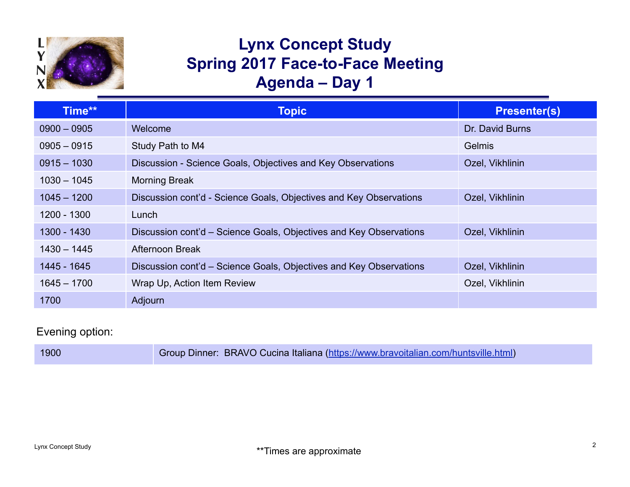

## **Lynx Concept Study Spring 2017 Face-to-Face Meeting Agenda – Day 1**

| Time**        | <b>Topic</b>                                                       | <b>Presenter(s)</b> |
|---------------|--------------------------------------------------------------------|---------------------|
| $0900 - 0905$ | <b>Welcome</b>                                                     | Dr. David Burns     |
| $0905 - 0915$ | Study Path to M4                                                   | <b>Gelmis</b>       |
| $0915 - 1030$ | Discussion - Science Goals, Objectives and Key Observations        | Ozel, Vikhlinin     |
| $1030 - 1045$ | <b>Morning Break</b>                                               |                     |
| $1045 - 1200$ | Discussion cont'd - Science Goals, Objectives and Key Observations | Ozel, Vikhlinin     |
| 1200 - 1300   | Lunch                                                              |                     |
| 1300 - 1430   | Discussion cont'd – Science Goals, Objectives and Key Observations | Ozel, Vikhlinin     |
| $1430 - 1445$ | Afternoon Break                                                    |                     |
| 1445 - 1645   | Discussion cont'd – Science Goals, Objectives and Key Observations | Ozel, Vikhlinin     |
| $1645 - 1700$ | Wrap Up, Action Item Review                                        | Ozel, Vikhlinin     |
| 1700          | Adjourn                                                            |                     |

## Evening option:

| 1900 | Group Dinner: BRAVO Cucina Italiana (https://www.bravoitalian.com/huntsville.html) |
|------|------------------------------------------------------------------------------------|
|------|------------------------------------------------------------------------------------|